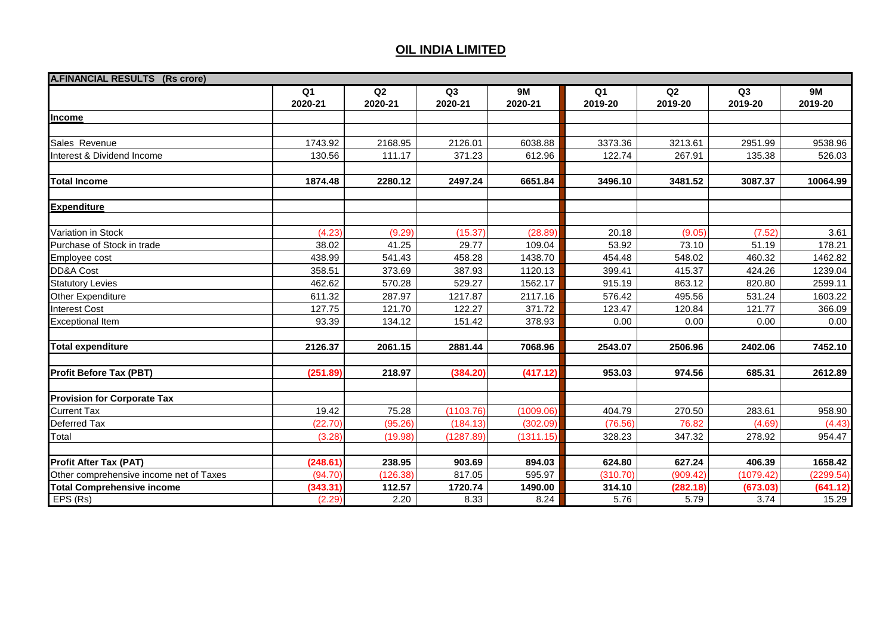| <b>A.FINANCIAL RESULTS (Rs crore)</b>   |                |                |           |           |                |          |           |           |
|-----------------------------------------|----------------|----------------|-----------|-----------|----------------|----------|-----------|-----------|
|                                         | Q <sub>1</sub> | Q <sub>2</sub> | Q3        | <b>9M</b> | Q <sub>1</sub> | Q2       | Q3        | <b>9M</b> |
|                                         | 2020-21        | 2020-21        | 2020-21   | 2020-21   | 2019-20        | 2019-20  | 2019-20   | 2019-20   |
| Income                                  |                |                |           |           |                |          |           |           |
|                                         |                |                |           |           |                |          |           |           |
| Sales Revenue                           | 1743.92        | 2168.95        | 2126.01   | 6038.88   | 3373.36        | 3213.61  | 2951.99   | 9538.96   |
| Interest & Dividend Income              | 130.56         | 111.17         | 371.23    | 612.96    | 122.74         | 267.91   | 135.38    | 526.03    |
| <b>Total Income</b>                     | 1874.48        | 2280.12        | 2497.24   | 6651.84   | 3496.10        | 3481.52  | 3087.37   | 10064.99  |
| <b>Expenditure</b>                      |                |                |           |           |                |          |           |           |
| <b>Variation in Stock</b>               | (4.23)         | (9.29)         | (15.37)   | (28.89)   | 20.18          | (9.05)   | (7.52)    | 3.61      |
| Purchase of Stock in trade              | 38.02          | 41.25          | 29.77     | 109.04    | 53.92          | 73.10    | 51.19     | 178.21    |
| <b>Employee cost</b>                    | 438.99         | 541.43         | 458.28    | 1438.70   | 454.48         | 548.02   | 460.32    | 1462.82   |
| DD&A Cost                               | 358.51         | 373.69         | 387.93    | 1120.13   | 399.41         | 415.37   | 424.26    | 1239.04   |
| <b>Statutory Levies</b>                 | 462.62         | 570.28         | 529.27    | 1562.17   | 915.19         | 863.12   | 820.80    | 2599.11   |
| Other Expenditure                       | 611.32         | 287.97         | 1217.87   | 2117.16   | 576.42         | 495.56   | 531.24    | 1603.22   |
| <b>Interest Cost</b>                    | 127.75         | 121.70         | 122.27    | 371.72    | 123.47         | 120.84   | 121.77    | 366.09    |
| <b>Exceptional Item</b>                 | 93.39          | 134.12         | 151.42    | 378.93    | 0.00           | 0.00     | 0.00      | 0.00      |
| <b>Total expenditure</b>                | 2126.37        | 2061.15        | 2881.44   | 7068.96   | 2543.07        | 2506.96  | 2402.06   | 7452.10   |
| <b>Profit Before Tax (PBT)</b>          | (251.89)       | 218.97         | (384.20)  | (417.12)  | 953.03         | 974.56   | 685.31    | 2612.89   |
| <b>Provision for Corporate Tax</b>      |                |                |           |           |                |          |           |           |
| <b>Current Tax</b>                      | 19.42          | 75.28          | (1103.76) | (1009.06) | 404.79         | 270.50   | 283.61    | 958.90    |
| <b>Deferred Tax</b>                     | (22.70)        | (95.26)        | (184.13)  | (302.09)  | (76.56)        | 76.82    | (4.69)    | (4.43)    |
| Total                                   | (3.28)         | (19.98)        | (1287.89) | (1311.15) | 328.23         | 347.32   | 278.92    | 954.47    |
| <b>Profit After Tax (PAT)</b>           | (248.61)       | 238.95         | 903.69    | 894.03    | 624.80         | 627.24   | 406.39    | 1658.42   |
| Other comprehensive income net of Taxes | (94.70)        | (126.38)       | 817.05    | 595.97    | (310.70)       | (909.42) | (1079.42) | (2299.54) |
| <b>Total Comprehensive income</b>       | (343.31)       | 112.57         | 1720.74   | 1490.00   | 314.10         | (282.18) | (673.03)  | (641.12)  |
| EPS (Rs)                                | (2.29)         | 2.20           | 8.33      | 8.24      | 5.76           | 5.79     | 3.74      | 15.29     |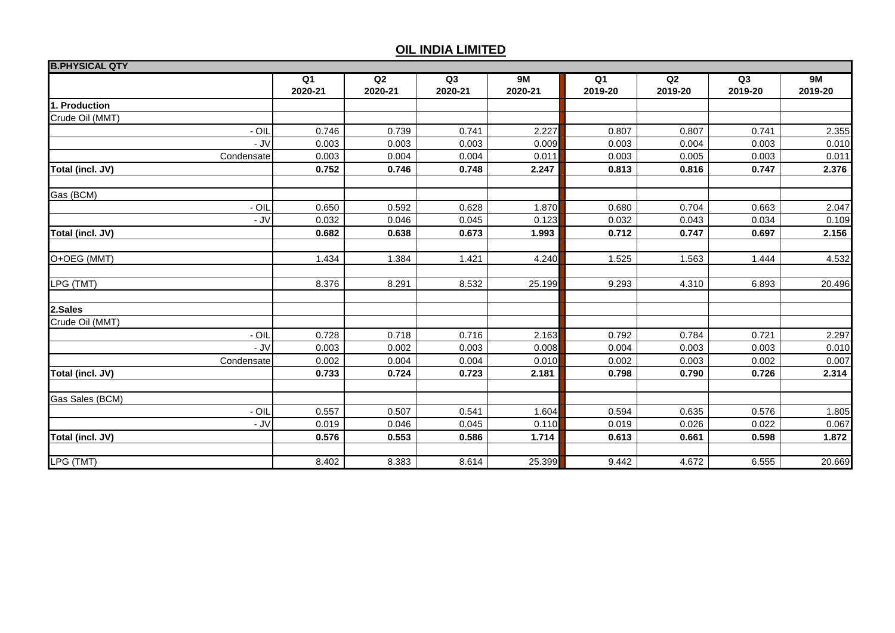| <b>B.PHYSICAL QTY</b> |            |                |         |                |           |         |                |                |         |
|-----------------------|------------|----------------|---------|----------------|-----------|---------|----------------|----------------|---------|
|                       |            | Q <sub>1</sub> | Q2      | Q <sub>3</sub> | <b>9M</b> | Q1      | Q <sub>2</sub> | Q <sub>3</sub> | 9M      |
|                       |            | 2020-21        | 2020-21 | 2020-21        | 2020-21   | 2019-20 | 2019-20        | 2019-20        | 2019-20 |
| 1. Production         |            |                |         |                |           |         |                |                |         |
| Crude Oil (MMT)       |            |                |         |                |           |         |                |                |         |
|                       | - OIL      | 0.746          | 0.739   | 0.741          | 2.227     | 0.807   | 0.807          | 0.741          | 2.355   |
|                       | - JV       | 0.003          | 0.003   | 0.003          | 0.009     | 0.003   | 0.004          | 0.003          | 0.010   |
| Condensate            |            | 0.003          | 0.004   | 0.004          | 0.011     | 0.003   | 0.005          | 0.003          | 0.011   |
| Total (incl. JV)      |            | 0.752          | 0.746   | 0.748          | 2.247     | 0.813   | 0.816          | 0.747          | 2.376   |
| Gas (BCM)             |            |                |         |                |           |         |                |                |         |
|                       | $-$ OIL    | 0.650          | 0.592   | 0.628          | 1.870     | 0.680   | 0.704          | 0.663          | 2.047   |
|                       | - JV       | 0.032          | 0.046   | 0.045          | 0.123     | 0.032   | 0.043          | 0.034          | 0.109   |
| Total (incl. JV)      |            | 0.682          | 0.638   | 0.673          | 1.993     | 0.712   | 0.747          | 0.697          | 2.156   |
|                       |            |                |         |                |           |         |                |                |         |
| O+OEG (MMT)           |            | 1.434          | 1.384   | 1.421          | 4.240     | 1.525   | 1.563          | 1.444          | 4.532   |
| LPG (TMT)             |            | 8.376          | 8.291   | 8.532          | 25.199    | 9.293   | 4.310          | 6.893          | 20.496  |
|                       |            |                |         |                |           |         |                |                |         |
| 2.Sales               |            |                |         |                |           |         |                |                |         |
| Crude Oil (MMT)       |            |                |         |                |           |         |                |                |         |
|                       | $-$ OIL    | 0.728          | 0.718   | 0.716          | 2.163     | 0.792   | 0.784          | 0.721          | 2.297   |
|                       | - JV       | 0.003          | 0.002   | 0.003          | 0.008     | 0.004   | 0.003          | 0.003          | 0.010   |
|                       | Condensate | 0.002          | 0.004   | 0.004          | 0.010     | 0.002   | 0.003          | 0.002          | 0.007   |
| Total (incl. JV)      |            | 0.733          | 0.724   | 0.723          | 2.181     | 0.798   | 0.790          | 0.726          | 2.314   |
| Gas Sales (BCM)       |            |                |         |                |           |         |                |                |         |
|                       | - OIL      | 0.557          | 0.507   | 0.541          | 1.604     | 0.594   | 0.635          | 0.576          | 1.805   |
|                       | - JV       | 0.019          | 0.046   | 0.045          | 0.110     | 0.019   | 0.026          | 0.022          | 0.067   |
| Total (incl. JV)      |            | 0.576          | 0.553   | 0.586          | 1.714     | 0.613   | 0.661          | 0.598          | 1.872   |
|                       |            |                |         |                |           |         |                |                |         |
| LPG (TMT)             |            | 8.402          | 8.383   | 8.614          | 25.399    | 9.442   | 4.672          | 6.555          | 20.669  |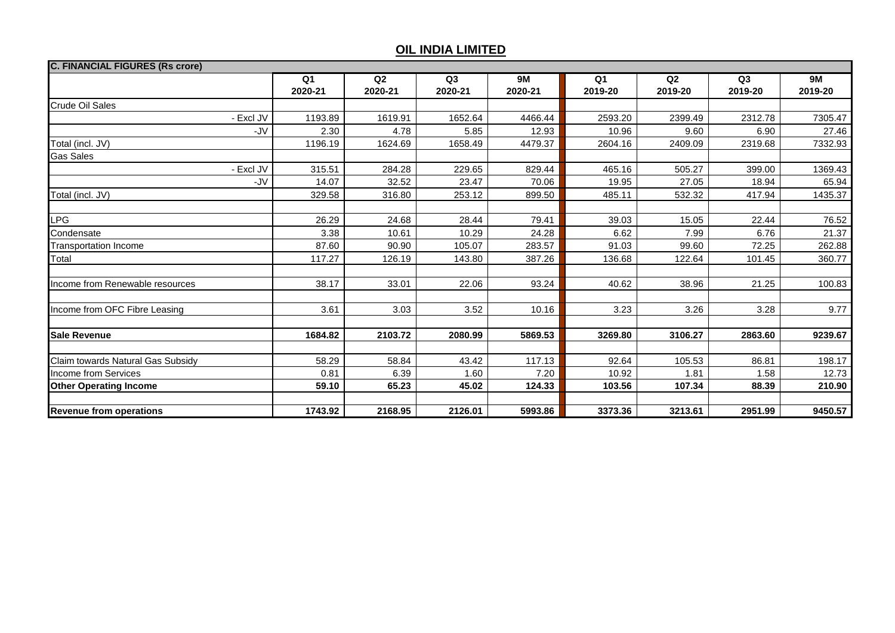| <b>C. FINANCIAL FIGURES (Rs crore)</b> |               |               |                           |                      |                           |               |               |                      |
|----------------------------------------|---------------|---------------|---------------------------|----------------------|---------------------------|---------------|---------------|----------------------|
|                                        | Q1<br>2020-21 | Q2<br>2020-21 | Q <sub>3</sub><br>2020-21 | <b>9M</b><br>2020-21 | Q <sub>1</sub><br>2019-20 | Q2<br>2019-20 | Q3<br>2019-20 | <b>9M</b><br>2019-20 |
| <b>Crude Oil Sales</b>                 |               |               |                           |                      |                           |               |               |                      |
| - Excl JV                              | 1193.89       | 1619.91       | 1652.64                   | 4466.44              | 2593.20                   | 2399.49       | 2312.78       | 7305.47              |
|                                        | -JV<br>2.30   | 4.78          | 5.85                      | 12.93                | 10.96                     | 9.60          | 6.90          | 27.46                |
| Total (incl. JV)                       | 1196.19       | 1624.69       | 1658.49                   | 4479.37              | 2604.16                   | 2409.09       | 2319.68       | 7332.93              |
| <b>Gas Sales</b>                       |               |               |                           |                      |                           |               |               |                      |
| - Excl JV                              | 315.51        | 284.28        | 229.65                    | 829.44               | 465.16                    | 505.27        | 399.00        | 1369.43              |
|                                        | 14.07<br>-JV  | 32.52         | 23.47                     | 70.06                | 19.95                     | 27.05         | 18.94         | 65.94                |
| Total (incl. JV)                       | 329.58        | 316.80        | 253.12                    | 899.50               | 485.11                    | 532.32        | 417.94        | 1435.37              |
|                                        |               |               |                           |                      |                           |               |               |                      |
| <b>LPG</b>                             | 26.29         | 24.68         | 28.44                     | 79.41                | 39.03                     | 15.05         | 22.44         | 76.52                |
| Condensate                             | 3.38          | 10.61         | 10.29                     | 24.28                | 6.62                      | 7.99          | 6.76          | 21.37                |
| <b>Transportation Income</b>           | 87.60         | 90.90         | 105.07                    | 283.57               | 91.03                     | 99.60         | 72.25         | 262.88               |
| Total                                  | 117.27        | 126.19        | 143.80                    | 387.26               | 136.68                    | 122.64        | 101.45        | 360.77               |
|                                        |               |               |                           |                      |                           |               |               |                      |
| Income from Renewable resources        | 38.17         | 33.01         | 22.06                     | 93.24                | 40.62                     | 38.96         | 21.25         | 100.83               |
|                                        |               |               |                           |                      |                           |               |               |                      |
| Income from OFC Fibre Leasing          | 3.61          | 3.03          | 3.52                      | 10.16                | 3.23                      | 3.26          | 3.28          | 9.77                 |
|                                        |               |               |                           |                      |                           |               |               |                      |
| <b>Sale Revenue</b>                    | 1684.82       | 2103.72       | 2080.99                   | 5869.53              | 3269.80                   | 3106.27       | 2863.60       | 9239.67              |
|                                        |               |               |                           |                      |                           |               |               |                      |
| Claim towards Natural Gas Subsidy      | 58.29         | 58.84         | 43.42                     | 117.13               | 92.64                     | 105.53        | 86.81         | 198.17               |
| <b>Income from Services</b>            | 0.81          | 6.39          | 1.60                      | 7.20                 | 10.92                     | 1.81          | 1.58          | 12.73                |
| <b>Other Operating Income</b>          | 59.10         | 65.23         | 45.02                     | 124.33               | 103.56                    | 107.34        | 88.39         | 210.90               |
|                                        |               |               |                           |                      |                           |               |               |                      |
| <b>Revenue from operations</b>         | 1743.92       | 2168.95       | 2126.01                   | 5993.86              | 3373.36                   | 3213.61       | 2951.99       | 9450.57              |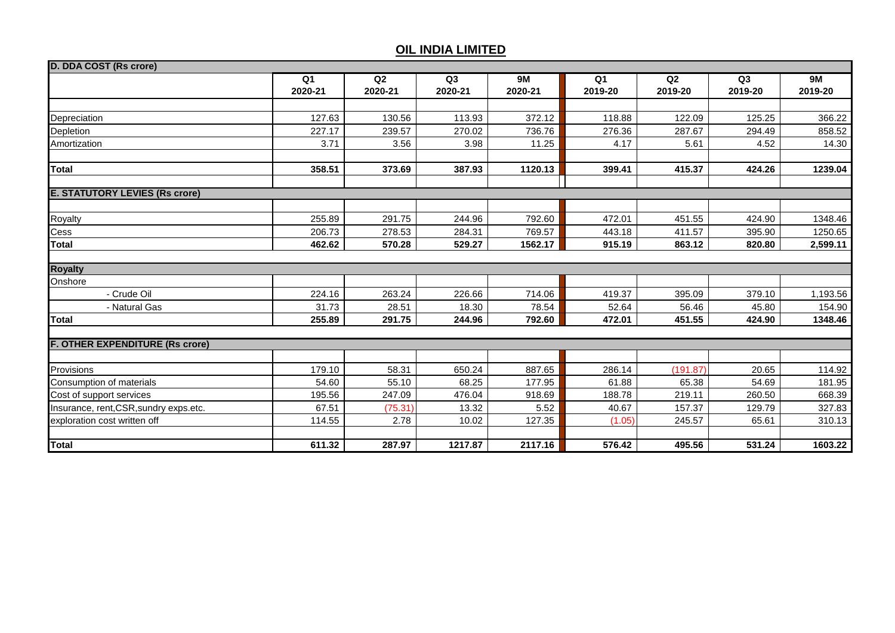| D. DDA COST (Rs crore)                 |                |                |         |           |                |          |         |           |
|----------------------------------------|----------------|----------------|---------|-----------|----------------|----------|---------|-----------|
|                                        | Q <sub>1</sub> | Q <sub>2</sub> | Q3      | <b>9M</b> | Q <sub>1</sub> | Q2       | Q3      | <b>9M</b> |
|                                        | 2020-21        | 2020-21        | 2020-21 | 2020-21   | 2019-20        | 2019-20  | 2019-20 | 2019-20   |
|                                        |                |                |         |           |                |          |         |           |
| Depreciation                           | 127.63         | 130.56         | 113.93  | 372.12    | 118.88         | 122.09   | 125.25  | 366.22    |
| Depletion                              | 227.17         | 239.57         | 270.02  | 736.76    | 276.36         | 287.67   | 294.49  | 858.52    |
| Amortization                           | 3.71           | 3.56           | 3.98    | 11.25     | 4.17           | 5.61     | 4.52    | 14.30     |
|                                        |                |                |         |           |                |          |         |           |
| <b>Total</b>                           | 358.51         | 373.69         | 387.93  | 1120.13   | 399.41         | 415.37   | 424.26  | 1239.04   |
|                                        |                |                |         |           |                |          |         |           |
| <b>E. STATUTORY LEVIES (Rs crore)</b>  |                |                |         |           |                |          |         |           |
|                                        |                |                |         |           |                |          |         |           |
| Royalty                                | 255.89         | 291.75         | 244.96  | 792.60    | 472.01         | 451.55   | 424.90  | 1348.46   |
| Cess                                   | 206.73         | 278.53         | 284.31  | 769.57    | 443.18         | 411.57   | 395.90  | 1250.65   |
| <b>Total</b>                           | 462.62         | 570.28         | 529.27  | 1562.17   | 915.19         | 863.12   | 820.80  | 2,599.11  |
|                                        |                |                |         |           |                |          |         |           |
| <b>Royalty</b>                         |                |                |         |           |                |          |         |           |
| Onshore                                |                |                |         |           |                |          |         |           |
| - Crude Oil                            | 224.16         | 263.24         | 226.66  | 714.06    | 419.37         | 395.09   | 379.10  | 1,193.56  |
| - Natural Gas                          | 31.73          | 28.51          | 18.30   | 78.54     | 52.64          | 56.46    | 45.80   | 154.90    |
| <b>Total</b>                           | 255.89         | 291.75         | 244.96  | 792.60    | 472.01         | 451.55   | 424.90  | 1348.46   |
|                                        |                |                |         |           |                |          |         |           |
| <b>F. OTHER EXPENDITURE (Rs crore)</b> |                |                |         |           |                |          |         |           |
| Provisions                             | 179.10         | 58.31          | 650.24  | 887.65    | 286.14         | (191.87) | 20.65   | 114.92    |
| Consumption of materials               | 54.60          | 55.10          | 68.25   | 177.95    | 61.88          | 65.38    | 54.69   | 181.95    |
| Cost of support services               | 195.56         | 247.09         | 476.04  | 918.69    | 188.78         | 219.11   | 260.50  | 668.39    |
| Insurance, rent, CSR, sundry exps.etc. | 67.51          | (75.31)        | 13.32   | 5.52      | 40.67          | 157.37   | 129.79  | 327.83    |
|                                        | 114.55         | 2.78           |         | 127.35    |                |          | 65.61   |           |
| exploration cost written off           |                |                | 10.02   |           | (1.05)         | 245.57   |         | 310.13    |
| <b>Total</b>                           | 611.32         | 287.97         | 1217.87 | 2117.16   | 576.42         | 495.56   | 531.24  | 1603.22   |